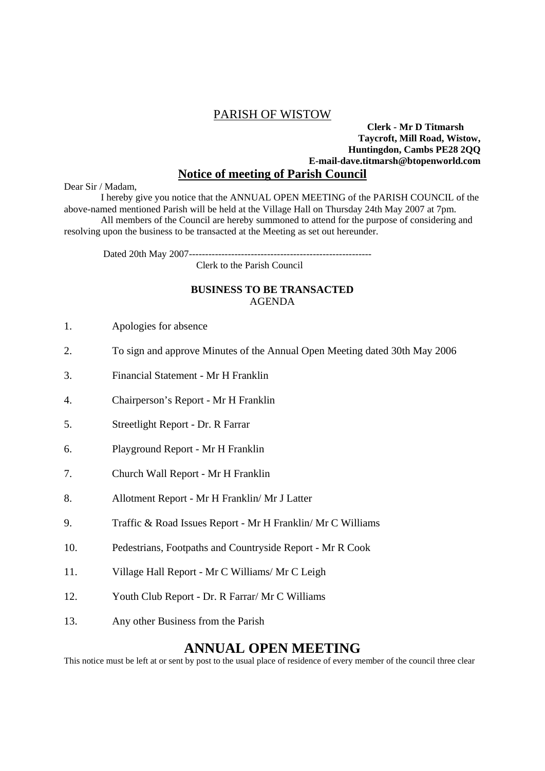## PARISH OF WISTOW

## **Clerk - Mr D Titmarsh Taycroft, Mill Road, Wistow, Huntingdon, Cambs PE28 2QQ E-mail-dave.titmarsh@btopenworld.com Notice of meeting of Parish Council**

Dear Sir / Madam,

 I hereby give you notice that the ANNUAL OPEN MEETING of the PARISH COUNCIL of the above-named mentioned Parish will be held at the Village Hall on Thursday 24th May 2007 at 7pm. All members of the Council are hereby summoned to attend for the purpose of considering and

resolving upon the business to be transacted at the Meeting as set out hereunder.

Dated 20th May 2007--------------------------------------------------------

Clerk to the Parish Council

## **BUSINESS TO BE TRANSACTED**  AGENDA

- 1. Apologies for absence
- 2. To sign and approve Minutes of the Annual Open Meeting dated 30th May 2006
- 3. Financial Statement Mr H Franklin
- 4. Chairperson's Report Mr H Franklin
- 5. Streetlight Report Dr. R Farrar
- 6. Playground Report Mr H Franklin
- 7. Church Wall Report Mr H Franklin
- 8. Allotment Report Mr H Franklin/ Mr J Latter
- 9. Traffic & Road Issues Report Mr H Franklin/ Mr C Williams
- 10. Pedestrians, Footpaths and Countryside Report Mr R Cook
- 11. Village Hall Report Mr C Williams/ Mr C Leigh
- 12. Youth Club Report Dr. R Farrar/ Mr C Williams
- 13. Any other Business from the Parish

## **ANNUAL OPEN MEETING**

This notice must be left at or sent by post to the usual place of residence of every member of the council three clear